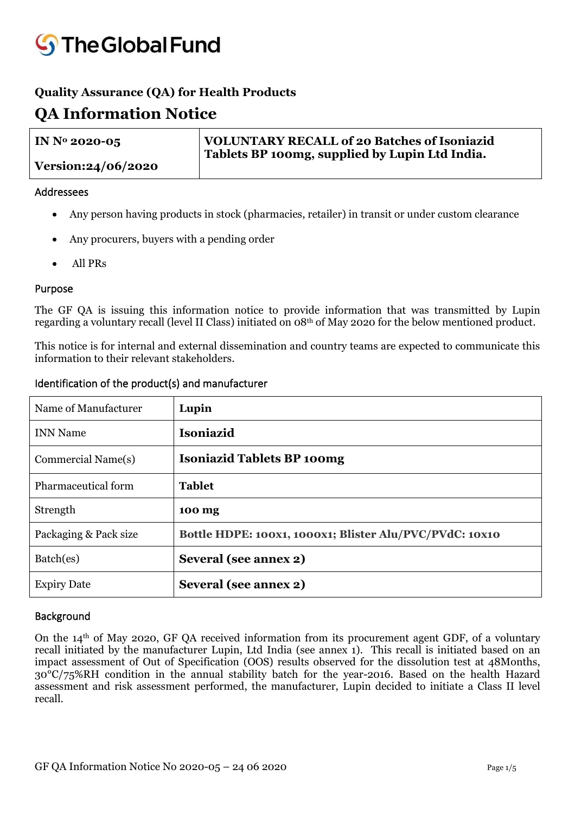

#### **Quality Assurance (QA) for Health Products**

### **QA Information Notice**

| IN $N^{\rm o}$ 2020-05    | VOLUNTARY RECALL of 20 Batches of Isoniazid<br>Tablets BP 100mg, supplied by Lupin Ltd India. |
|---------------------------|-----------------------------------------------------------------------------------------------|
| <b>Version:24/06/2020</b> |                                                                                               |

#### Addressees

- Any person having products in stock (pharmacies, retailer) in transit or under custom clearance
- Any procurers, buyers with a pending order
- All PRs

#### Purpose

The GF QA is issuing this information notice to provide information that was transmitted by Lupin regarding a voluntary recall (level II Class) initiated on 08<sup>th</sup> of May 2020 for the below mentioned product.

This notice is for internal and external dissemination and country teams are expected to communicate this information to their relevant stakeholders.

| Identification of the product(s) and manufacturer |  |  |
|---------------------------------------------------|--|--|
|---------------------------------------------------|--|--|

| Name of Manufacturer  | Lupin                                                   |
|-----------------------|---------------------------------------------------------|
| <b>INN Name</b>       | <b>Isoniazid</b>                                        |
| Commercial Name(s)    | <b>Isoniazid Tablets BP 100mg</b>                       |
| Pharmaceutical form   | <b>Tablet</b>                                           |
| Strength              | 100 mg                                                  |
| Packaging & Pack size | Bottle HDPE: 100x1, 1000x1; Blister Alu/PVC/PVdC: 10x10 |
| Batch(es)             | Several (see annex 2)                                   |
| <b>Expiry Date</b>    | Several (see annex 2)                                   |

#### Background

On the 14th of May 2020, GF QA received information from its procurement agent GDF, of a voluntary recall initiated by the manufacturer Lupin, Ltd India (see annex 1). This recall is initiated based on an impact assessment of Out of Specification (OOS) results observed for the dissolution test at 48Months, 30°C/75%RH condition in the annual stability batch for the year-2016. Based on the health Hazard assessment and risk assessment performed, the manufacturer, Lupin decided to initiate a Class II level recall.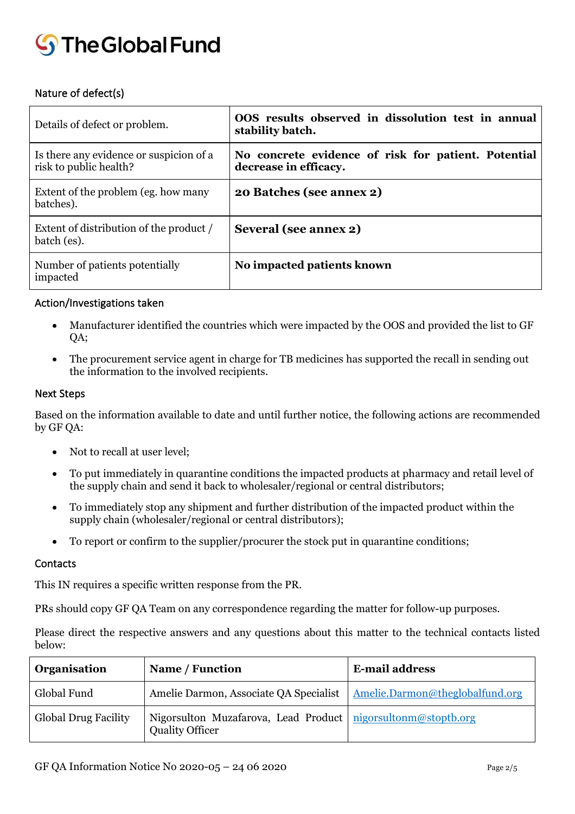

#### Nature of defect(s)

| Details of defect or problem.                                     | OOS results observed in dissolution test in annual<br>stability batch.       |
|-------------------------------------------------------------------|------------------------------------------------------------------------------|
| Is there any evidence or suspicion of a<br>risk to public health? | No concrete evidence of risk for patient. Potential<br>decrease in efficacy. |
| Extent of the problem (eg. how many<br>batches).                  | 20 Batches (see annex 2)                                                     |
| Extent of distribution of the product /<br>batch (es).            | Several (see annex 2)                                                        |
| Number of patients potentially<br>impacted                        | No impacted patients known                                                   |

#### Action/Investigations taken

- Manufacturer identified the countries which were impacted by the OOS and provided the list to GF QA;
- The procurement service agent in charge for TB medicines has supported the recall in sending out the information to the involved recipients.

#### Next Steps

Based on the information available to date and until further notice, the following actions are recommended by GF QA:

- Not to recall at user level;
- To put immediately in quarantine conditions the impacted products at pharmacy and retail level of the supply chain and send it back to wholesaler/regional or central distributors;
- To immediately stop any shipment and further distribution of the impacted product within the supply chain (wholesaler/regional or central distributors);
- To report or confirm to the supplier/procurer the stock put in quarantine conditions;

#### **Contacts**

This IN requires a specific written response from the PR.

PRs should copy GF QA Team on any correspondence regarding the matter for follow-up purposes.

Please direct the respective answers and any questions about this matter to the technical contacts listed below:

| <b>Organisation</b>         | Name / Function                                                                        | <b>E-mail address</b>           |
|-----------------------------|----------------------------------------------------------------------------------------|---------------------------------|
| Global Fund                 | Amelie Darmon, Associate QA Specialist                                                 | Amelie.Darmon@theglobalfund.org |
| <b>Global Drug Facility</b> | Nigorsulton Muzafarova, Lead Product nigorsultonm@stoptb.org<br><b>Quality Officer</b> |                                 |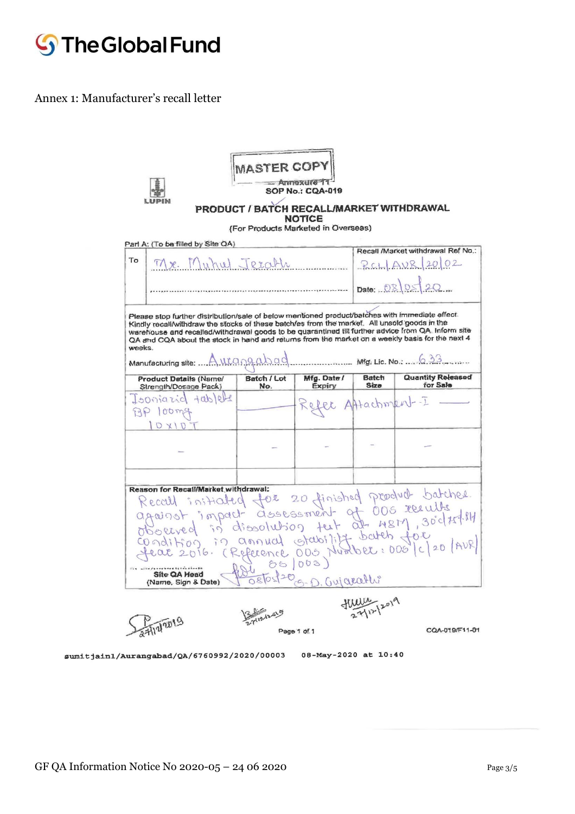

Annex 1: Manufacturer's recall letter

| To<br>Mr. Muhul Jerath                                                                                                                                                                                                                    | Part A: (To be filled by Site OA) |                       |               | Recall /Market withdrawal Ref No.:<br>RCL AVR 2002 |
|-------------------------------------------------------------------------------------------------------------------------------------------------------------------------------------------------------------------------------------------|-----------------------------------|-----------------------|---------------|----------------------------------------------------|
|                                                                                                                                                                                                                                           |                                   |                       |               | Date: $080520$                                     |
| QA and CQA about the stock in hand and returns from the market on a weekly basis for the next 4<br>weeks.<br>Manufacturing site: Autongabad<br>Product Details (Name/<br>Strength/Dosage Pack)                                            | Batch / Lot<br>No.                | Mfg. Date /<br>Expiry | Batch<br>Size | <b>Quantity Released</b><br>for Sale               |
| Isoniarid tablels<br>BP 100mg<br>10x107                                                                                                                                                                                                   |                                   | Refer Attachment-I    |               |                                                    |
|                                                                                                                                                                                                                                           |                                   |                       |               |                                                    |
| Reason for Recall/Market withdrawal:                                                                                                                                                                                                      |                                   |                       |               |                                                    |
| Recall initially for 20 finished product batches.<br>Recall initially for 20 finished product batches.<br>against impact assessment of 006 results<br>observed in dissolution for MSM, 30 c/74 fll<br>condition in annual stability batch |                                   |                       |               |                                                    |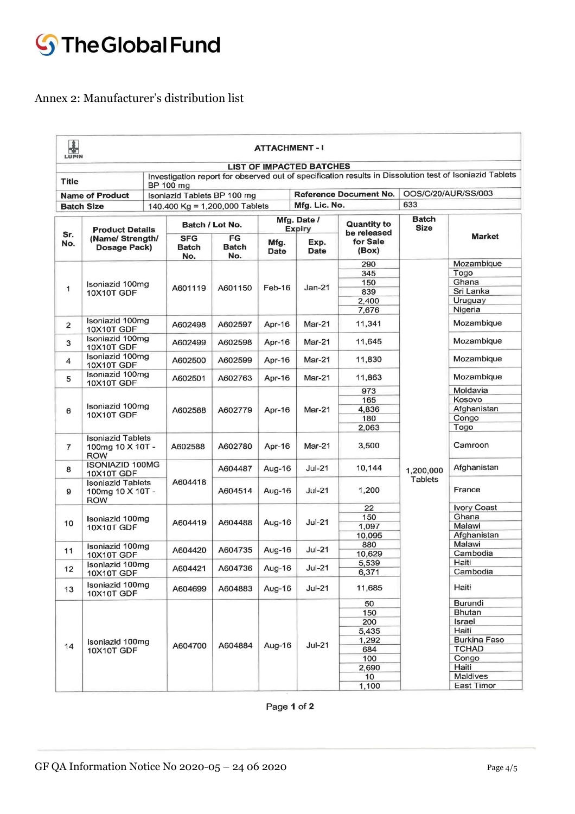## **S**The Global Fund

Annex 2: Manufacturer's distribution list

| 4<br><b>LUPIN</b> | <b>ATTACHMENT - I</b>                                      |                                                                                                        |                                |                           |              |                                 |                                   |                             |                                                                                                         |             |
|-------------------|------------------------------------------------------------|--------------------------------------------------------------------------------------------------------|--------------------------------|---------------------------|--------------|---------------------------------|-----------------------------------|-----------------------------|---------------------------------------------------------------------------------------------------------|-------------|
|                   |                                                            |                                                                                                        |                                |                           |              | <b>LIST OF IMPACTED BATCHES</b> |                                   |                             |                                                                                                         |             |
| <b>Title</b>      |                                                            |                                                                                                        | BP 100 mg                      |                           |              |                                 |                                   |                             | Investigation report for observed out of specification results in Dissolution test of Isoniazid Tablets |             |
|                   | <b>Name of Product</b>                                     |                                                                                                        | Isoniazid Tablets BP 100 mg    |                           |              |                                 | <b>Reference Document No.</b>     |                             | OOS/C/20/AUR/SS/003                                                                                     |             |
|                   | <b>Batch Size</b>                                          |                                                                                                        | 140.400 Kg = 1,200,000 Tablets |                           |              | Mfg. Lic. No.                   |                                   | 633                         |                                                                                                         |             |
|                   |                                                            | <b>Product Details</b><br><b>SFG</b><br>(Name/ Strength/<br><b>Dosage Pack)</b><br><b>Batch</b><br>No. |                                | Batch / Lot No.           |              | Mfg. Date /<br><b>Expiry</b>    | <b>Quantity to</b><br>be released | <b>Batch</b><br><b>Size</b> |                                                                                                         |             |
| Sr.<br>No.        |                                                            |                                                                                                        |                                | FG<br><b>Batch</b><br>No. | Mfg.<br>Date | Exp.<br>Date                    | for Sale<br>(Box)                 |                             | <b>Market</b>                                                                                           |             |
|                   |                                                            |                                                                                                        |                                |                           |              |                                 | 290                               |                             | Mozambique                                                                                              |             |
|                   |                                                            |                                                                                                        |                                |                           |              |                                 | 345                               |                             | Togo                                                                                                    |             |
| 1                 | Isoniazid 100mg                                            |                                                                                                        | A601119                        | A601150                   | Feb-16       | $Jan-21$                        | 150                               |                             | Ghana                                                                                                   |             |
|                   | <b>10X10T GDF</b>                                          |                                                                                                        |                                |                           |              |                                 | 839                               |                             | Sri Lanka                                                                                               |             |
|                   |                                                            |                                                                                                        |                                |                           |              |                                 | 2,400                             |                             | Uruguay                                                                                                 |             |
|                   |                                                            |                                                                                                        |                                |                           |              |                                 | 7,676                             |                             | Nigeria                                                                                                 |             |
| 2                 | Isoniazid 100mg<br>10X10T GDF                              |                                                                                                        | A602498                        | A602597                   | Apr-16       | <b>Mar-21</b>                   | 11,341                            |                             | Mozambique                                                                                              |             |
| 3                 | Isoniazid 100mg<br>10X10T GDF                              |                                                                                                        | A602499                        | A602598                   | Apr-16       | Mar-21                          | 11,645                            |                             | Mozambique                                                                                              |             |
| 4                 | Isoniazid 100mg<br>10X10T GDF                              |                                                                                                        | A602500                        | A602599                   | Apr-16       | $Mar-21$                        | 11,830                            |                             | Mozambique                                                                                              |             |
| 5                 | Isoniazid 100mg<br>10X10T GDF                              |                                                                                                        | A602501                        | A602763                   | Apr-16       | Mar-21                          | 11,863                            |                             | Mozambique                                                                                              |             |
|                   |                                                            |                                                                                                        | A602588                        |                           |              |                                 | 973                               |                             | Moldavia                                                                                                |             |
|                   |                                                            |                                                                                                        |                                |                           |              |                                 | 165                               |                             | Kosovo                                                                                                  |             |
| 6                 | Isoniazid 100mg<br>10X10T GDF                              |                                                                                                        |                                | A602779                   | Apr-16       | Mar-21                          | 4,836                             |                             | Afghanistan                                                                                             |             |
|                   |                                                            |                                                                                                        |                                |                           |              |                                 | 180                               |                             | Congo                                                                                                   |             |
|                   |                                                            |                                                                                                        |                                |                           |              |                                 | 2,063                             |                             | Togo                                                                                                    |             |
| $\overline{7}$    | <b>Isoniazid Tablets</b><br>100mg 10 X 10T -<br><b>ROW</b> |                                                                                                        | A602588                        | A602780                   | Apr-16       | <b>Mar-21</b>                   | 3,500                             |                             | Camroon                                                                                                 |             |
| 8                 | <b>ISONIAZID 100MG</b><br><b>10X10T GDF</b>                |                                                                                                        |                                | A604487                   | Aug-16       | $Jul-21$                        | 10,144                            | 1.200,000                   | Afghanistan                                                                                             |             |
| 9                 | <b>Isoniazid Tablets</b><br>100mg 10 X 10T -<br><b>ROW</b> |                                                                                                        | A604418                        | A604514                   | Aug-16       | <b>Jul-21</b>                   | 1,200                             | <b>Tablets</b>              | France                                                                                                  |             |
|                   |                                                            |                                                                                                        |                                |                           |              |                                 | 22                                |                             | <b>Ivory Coast</b>                                                                                      |             |
|                   | Isoniazid 100mg                                            |                                                                                                        |                                |                           |              | $Jul-21$                        | 150                               |                             | Ghana                                                                                                   |             |
| 10                | <b>10X10T GDF</b>                                          |                                                                                                        |                                | A604419                   | A604488      | Aug-16                          |                                   | 1,097                       |                                                                                                         | Malawi      |
|                   |                                                            |                                                                                                        |                                |                           |              |                                 |                                   | 10,095                      |                                                                                                         | Afghanistan |
| 11                | Isoniazid 100mg                                            |                                                                                                        | A604420                        | A604735                   | Aug-16       | $Jul-21$                        | 880                               |                             | Malawi                                                                                                  |             |
|                   | 10X10T GDF                                                 |                                                                                                        |                                |                           |              |                                 | 10,629                            |                             | Cambodia                                                                                                |             |
| 12                | Isoniazid 100mg                                            |                                                                                                        | A604421                        | A604736                   | Aug-16       | $Jul-21$                        | 5,539                             |                             | Haiti                                                                                                   |             |
|                   | 10X10T GDF                                                 |                                                                                                        |                                |                           |              |                                 | 6,371                             |                             | Cambodia                                                                                                |             |
| 13                | Isoniazid 100mg<br>10X10T GDF                              |                                                                                                        | A604699                        | A604883                   | Aug-16       | $Jul-21$                        | 11,685                            |                             | Haiti                                                                                                   |             |
|                   |                                                            |                                                                                                        |                                |                           |              |                                 | 50                                |                             | Burundi                                                                                                 |             |
|                   |                                                            |                                                                                                        |                                |                           |              |                                 | 150                               |                             | <b>Bhutan</b>                                                                                           |             |
|                   |                                                            |                                                                                                        |                                |                           |              | 200                             |                                   | Israel                      |                                                                                                         |             |
|                   |                                                            |                                                                                                        |                                |                           |              |                                 | 5,435                             |                             | Haiti                                                                                                   |             |
|                   | Isoniazid 100mg                                            |                                                                                                        |                                | $Jul-21$                  | 1,292        |                                 | <b>Burkina Faso</b>               |                             |                                                                                                         |             |
| 14                | 10X10T GDF                                                 |                                                                                                        | A604700                        | A604884                   | Aug-16       |                                 | 684                               |                             | <b>TCHAD</b>                                                                                            |             |
|                   |                                                            |                                                                                                        |                                |                           |              |                                 | 100                               |                             | Congo                                                                                                   |             |
|                   |                                                            |                                                                                                        |                                |                           |              |                                 | 2,690                             |                             | Haiti                                                                                                   |             |
|                   |                                                            |                                                                                                        |                                |                           |              |                                 | 10                                |                             | Maldives                                                                                                |             |
|                   |                                                            |                                                                                                        |                                |                           |              |                                 | 1,100                             |                             | East Timor                                                                                              |             |

Page 1 of 2